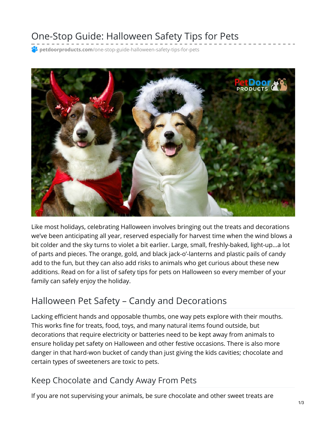# One-Stop Guide: Halloween Safety Tips for Pets

**petdoorproducts.com**[/one-stop-guide-halloween-safety-tips-for-pets](https://petdoorproducts.com/one-stop-guide-halloween-safety-tips-for-pets/)



Like most holidays, celebrating Halloween involves bringing out the treats and decorations we've been anticipating all year, reserved especially for harvest time when the wind blows a bit colder and the sky turns to violet a bit earlier. Large, small, freshly-baked, light-up…a lot of parts and pieces. The orange, gold, and black jack-o'-lanterns and plastic pails of candy add to the fun, but they can also add risks to animals who get curious about these new additions. Read on for a list of safety tips for pets on Halloween so every member of your family can safely enjoy the holiday.

## Halloween Pet Safety – Candy and Decorations

Lacking efficient hands and opposable thumbs, one way pets explore with their mouths. This works fine for treats, food, toys, and many natural items found outside, but decorations that require electricity or batteries need to be kept away from animals to ensure holiday pet safety on Halloween and other festive occasions. There is also more danger in that hard-won bucket of candy than just giving the kids cavities; chocolate and certain types of sweeteners are toxic to pets.

#### Keep Chocolate and Candy Away From Pets

If you are not supervising your animals, be sure chocolate and other sweet treats are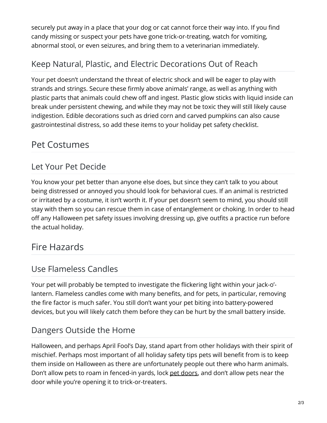securely put away in a place that your dog or cat cannot force their way into. If you find candy missing or suspect your pets have gone trick-or-treating, watch for vomiting, abnormal stool, or even seizures, and bring them to a veterinarian immediately.

## Keep Natural, Plastic, and Electric Decorations Out of Reach

Your pet doesn't understand the threat of electric shock and will be eager to play with strands and strings. Secure these firmly above animals' range, as well as anything with plastic parts that animals could chew off and ingest. Plastic glow sticks with liquid inside can break under persistent chewing, and while they may not be toxic they will still likely cause indigestion. Edible decorations such as dried corn and carved pumpkins can also cause gastrointestinal distress, so add these items to your holiday pet safety checklist.

## Pet Costumes

## Let Your Pet Decide

You know your pet better than anyone else does, but since they can't talk to you about being distressed or annoyed you should look for behavioral cues. If an animal is restricted or irritated by a costume, it isn't worth it. If your pet doesn't seem to mind, you should still stay with them so you can rescue them in case of entanglement or choking. In order to head off any Halloween pet safety issues involving dressing up, give outfits a practice run before the actual holiday.

## Fire Hazards

#### Use Flameless Candles

Your pet will probably be tempted to investigate the flickering light within your jack-o' lantern. Flameless candles come with many benefits, and for pets, in particular, removing the fire factor is much safer. You still don't want your pet biting into battery-powered devices, but you will likely catch them before they can be hurt by the small battery inside.

## Dangers Outside the Home

Halloween, and perhaps April Fool's Day, stand apart from other holidays with their spirit of mischief. Perhaps most important of all holiday safety tips pets will benefit from is to keep them inside on Halloween as there are unfortunately people out there who harm animals. Don't allow pets to roam in fenced-in yards, lock pet [doors](https://petdoorproducts.com/), and don't allow pets near the door while you're opening it to trick-or-treaters.